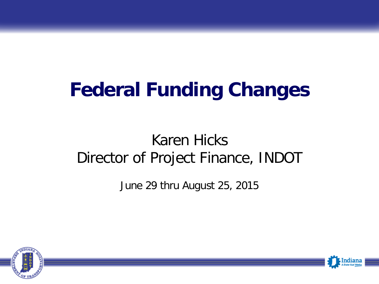#### **Federal Funding Changes**

#### Karen Hicks Director of Project Finance, INDOT

June 29 thru August 25, 2015



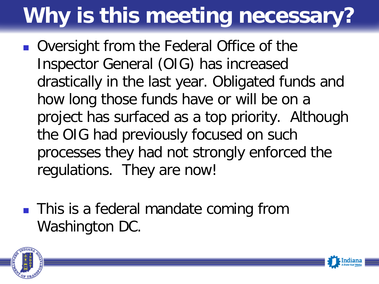# **Why is this meeting necessary?**

- Oversight from the Federal Office of the Inspector General (OIG) has increased drastically in the last year. Obligated funds and how long those funds have or will be on a project has surfaced as a top priority. Although the OIG had previously focused on such processes they had not strongly enforced the regulations. They are now!
- **This is a federal mandate coming from** Washington DC.



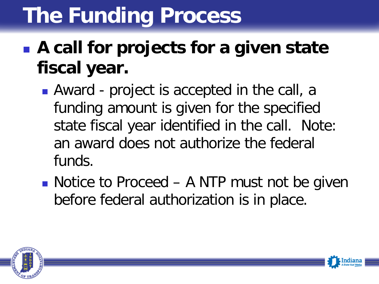#### **A call for projects for a given state fiscal year.**

- Award project is accepted in the call, a funding amount is given for the specified state fiscal year identified in the call. Note: an award does not authorize the federal funds.
- Notice to Proceed  $-$  A NTP must not be given before federal authorization is in place.



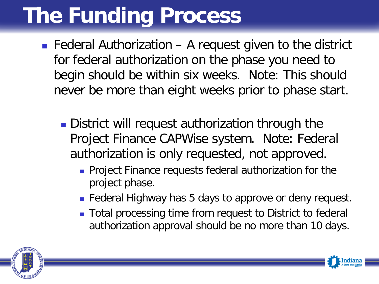- Federal Authorization A request given to the district for federal authorization on the phase you need to begin should be within six weeks. Note: This should never be more than eight weeks prior to phase start.
	- **District will request authorization through the** Project Finance CAPWise system. Note: Federal authorization is only requested, not approved.
		- **Project Finance requests federal authorization for the** project phase.
		- **Federal Highway has 5 days to approve or deny request.**
		- **Total processing time from request to District to federal** authorization approval should be no more than 10 days.



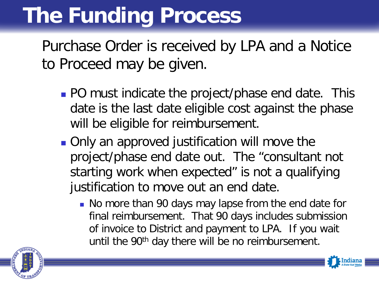Purchase Order is received by LPA and a Notice to Proceed may be given.

- **PO** must indicate the project/phase end date. This date is the last date eligible cost against the phase will be eligible for reimbursement.
- **Only an approved justification will move the** project/phase end date out. The "consultant not starting work when expected" is not a qualifying justification to move out an end date.
	- No more than 90 days may lapse from the end date for final reimbursement. That 90 days includes submission of invoice to District and payment to LPA. If you wait until the 90<sup>th</sup> day there will be no reimbursement.



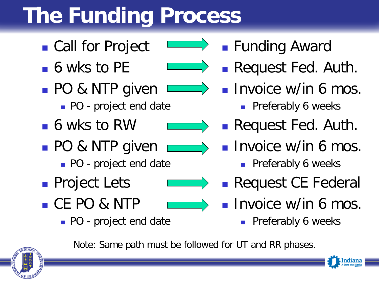- Call for Project
- **6** wks to PE
- **PO & NTP given** 
	- **PO** project end date
- 6 wks to RW
- **PO & NTP given** 
	- PO project end date
- **Project Lets**
- CE PO & NTP
	- PO project end date
- **Funding Award**
- Request Fed. Auth.
- $\Rightarrow$  Invoice w/in 6 mos.
	- **Preferably 6 weeks**
	- Request Fed. Auth.
	- Invoice w/in 6 mos.
		- **Preferably 6 weeks**
		- **Request CE Federal**
		- **Invoice w/in 6 mos.** 
			- **Preferably 6 weeks**



Note: Same path must be followed for UT and RR phases.





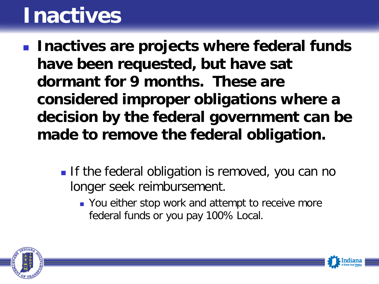#### **Inactives**

**Inactives are projects where federal funds have been requested, but have sat dormant for 9 months. These are considered improper obligations where a decision by the federal government can be made to remove the federal obligation.** 

- **If the federal obligation is removed, you can no** longer seek reimbursement.
	- You either stop work and attempt to receive more federal funds or you pay 100% Local.



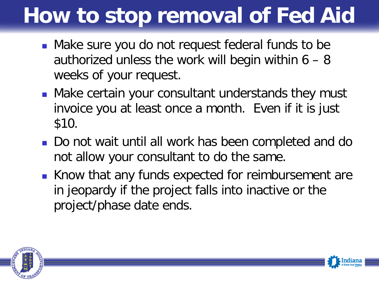### **How to stop removal of Fed Aid**

- **Nake sure you do not request federal funds to be** authorized unless the work will begin within  $6 - 8$ weeks of your request.
- **Make certain your consultant understands they must** invoice you at least once a month. Even if it is just \$10.
- Do not wait until all work has been completed and do not allow your consultant to do the same.
- Know that any funds expected for reimbursement are in jeopardy if the project falls into inactive or the project/phase date ends.



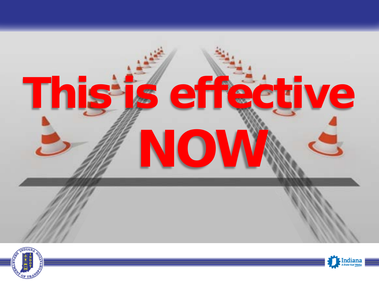



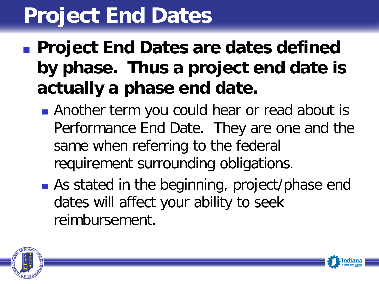#### **Project End Dates are dates defined by phase. Thus a project end date is actually a phase end date.**

- Another term you could hear or read about is Performance End Date. They are one and the same when referring to the federal requirement surrounding obligations.
- **As stated in the beginning, project/phase end** dates will affect your ability to seek reimbursement.



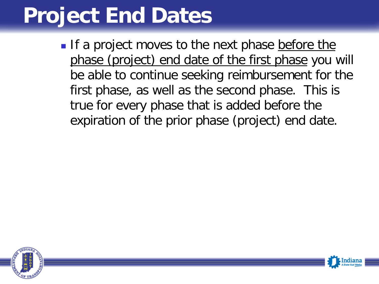If a project moves to the next phase before the phase (project) end date of the first phase you will be able to continue seeking reimbursement for the first phase, as well as the second phase. This is true for every phase that is added before the expiration of the prior phase (project) end date.



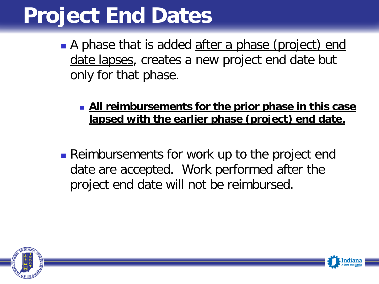- A phase that is added after a phase (project) end date lapses, creates a new project end date but only for that phase.
	- **All reimbursements for the prior phase in this case lapsed with the earlier phase (project) end date.**
- **Reimbursements for work up to the project end** date are accepted. Work performed after the project end date will not be reimbursed.



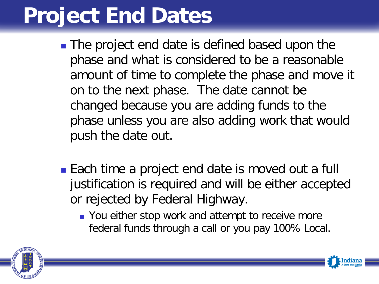- **The project end date is defined based upon the** phase and what is considered to be a reasonable amount of time to complete the phase and move it on to the next phase. The date cannot be changed because you are adding funds to the phase unless you are also adding work that would push the date out.
- Each time a project end date is moved out a full justification is required and will be either accepted or rejected by Federal Highway.
	- You either stop work and attempt to receive more federal funds through a call or you pay 100% Local.



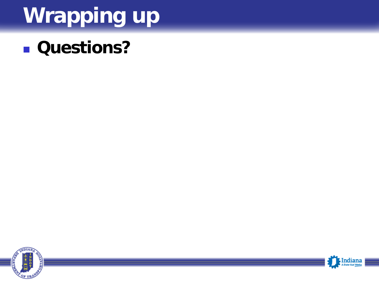# **Wrapping up**

#### **Questions?**



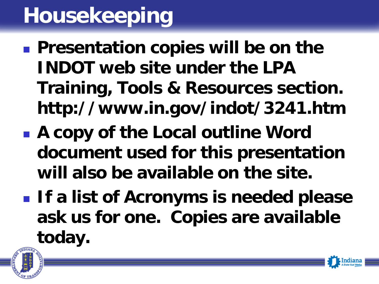## **Housekeeping**

- **Presentation copies will be on the INDOT web site under the LPA Training, Tools & Resources section. http://www.in.gov/indot/3241.htm**
- **A copy of the Local outline Word document used for this presentation will also be available on the site.**
- **If a list of Acronyms is needed please ask us for one. Copies are available today.**



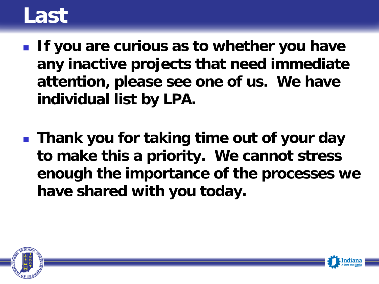#### **Last**

- **If you are curious as to whether you have any inactive projects that need immediate attention, please see one of us. We have individual list by LPA.**
- **Thank you for taking time out of your day to make this a priority. We cannot stress enough the importance of the processes we have shared with you today.**



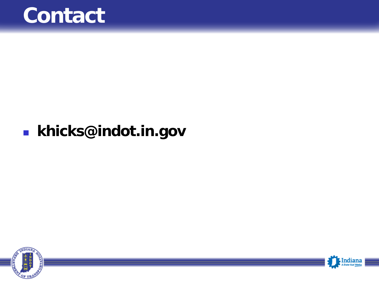

#### **khicks@indot.in.gov**



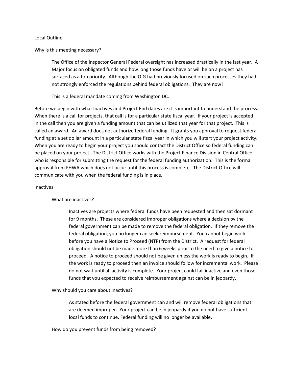#### Local Outline

Why is this meeting necessary?

The Office of the Inspector General Federal oversight has increased drastically in the last year. A Major focus on obligated funds and how long those funds have or will be on a project has surfaced as a top priority. Although the OIG had previously focused on such processes they had not strongly enforced the regulations behind federal obligations. They are now!

This is a federal mandate coming from Washington DC.

Before we begin with what Inactives and Project End dates are it is important to understand the process. When there is a call for projects, that call is for a particular state fiscal year. If your project is accepted in the call then you are given a funding amount that can be utilized that year for that project. This is called an award. An award does not authorize federal funding. It grants you approval to request federal funding at a set dollar amount in a particular state fiscal year in which you will start your project activity. When you are ready to begin your project you should contact the District Office so federal funding can be placed on your project. The District Office works with the Project Finance Division in Central Office who is responsible for submitting the request for the federal funding authorization. This is the formal approval from FHWA which does not occur until this process is complete. The District Office will communicate with you when the federal funding is in place.

#### Inactives

#### What are inactives?

Inactives are projects where federal funds have been requested and then sat dormant for 9 months. These are considered improper obligations where a decision by the federal government can be made to remove the federal obligation. If they remove the federal obligation, you no longer can seek reimbursement. You cannot begin work before you have a Notice to Proceed (NTP) from the District. A request for federal obligation should not be made more than 6 weeks prior to the need to give a notice to proceed. A notice to proceed should not be given unless the work is ready to begin. If the work is ready to proceed then an invoice should follow for incremental work. Please do not wait until all activity is complete. Your project could fall inactive and even those funds that you expected to receive reimbursement against can be in jeopardy.

Why should you care about inactives?

As stated before the federal government can and will remove federal obligations that are deemed improper. Your project can be in jeopardy if you do not have sufficient local funds to continue. Federal funding will no longer be available.

How do you prevent funds from being removed?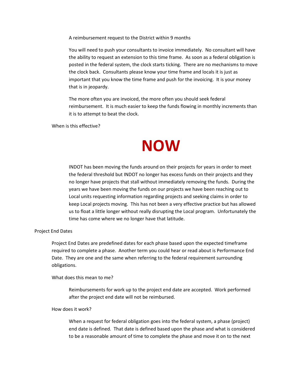A reimbursement request to the District within 9 months

You will need to push your consultants to invoice immediately. No consultant will have the ability to request an extension to this time frame. As soon as a federal obligation is posted in the federal system, the clock starts ticking. There are no mechanisms to move the clock back. Consultants please know your time frame and locals it is just as important that you know the time frame and push for the invoicing. It is your money that is in jeopardy.

The more often you are invoiced, the more often you should seek federal reimbursement. It is much easier to keep the funds flowing in monthly increments than it is to attempt to beat the clock.

When is this effective?

#### **NOW**

INDOT has been moving the funds around on their projects for years in order to meet the federal threshold but INDOT no longer has excess funds on their projects and they no longer have projects that stall without immediately removing the funds. During the years we have been moving the funds on our projects we have been reaching out to Local units requesting information regarding projects and seeking claims in order to keep Local projects moving. This has not been a very effective practice but has allowed us to float a little longer without really disrupting the Local program. Unfortunately the time has come where we no longer have that latitude.

#### Project End Dates

Project End Dates are predefined dates for each phase based upon the expected timeframe required to complete a phase. Another term you could hear or read about is Performance End Date. They are one and the same when referring to the federal requirement surrounding obligations.

What does this mean to me?

Reimbursements for work up to the project end date are accepted. Work performed after the project end date will not be reimbursed.

#### How does it work?

When a request for federal obligation goes into the federal system, a phase (project) end date is defined. That date is defined based upon the phase and what is considered to be a reasonable amount of time to complete the phase and move it on to the next